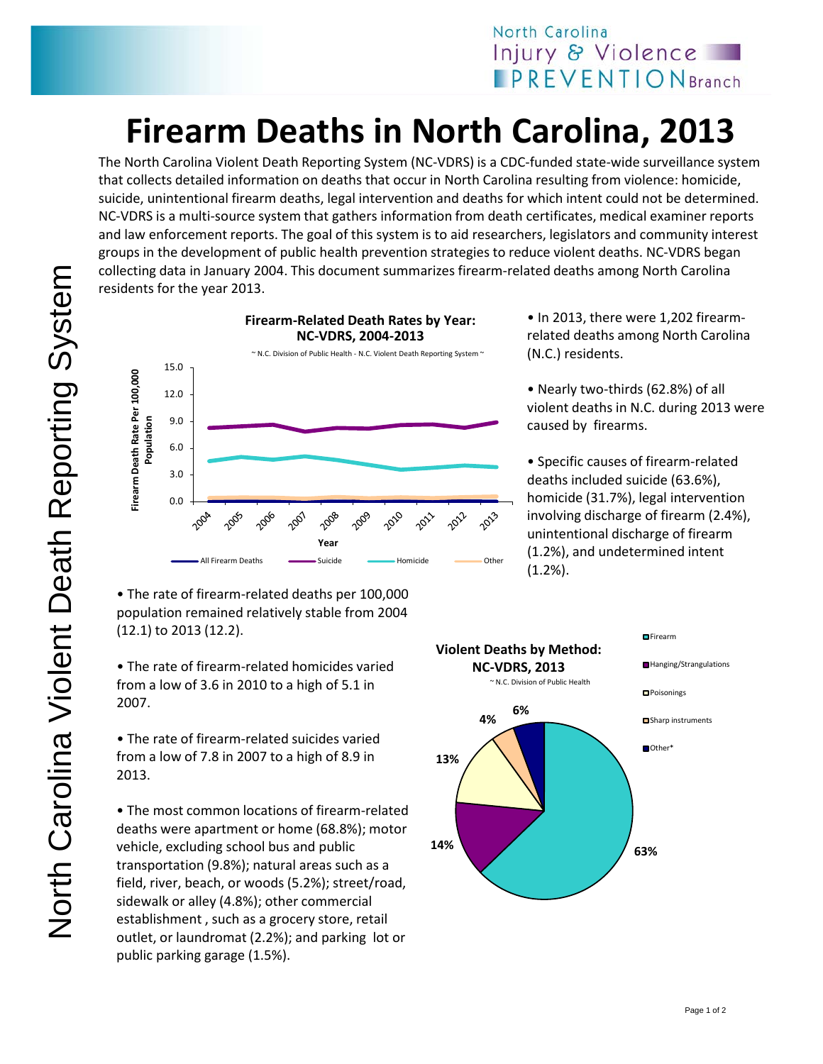## **Firearm Deaths in North Carolina, 2013**

The North Carolina Violent Death Reporting System (NC-VDRS) is a CDC-funded state-wide surveillance system that collects detailed information on deaths that occur in North Carolina resulting from violence: homicide, suicide, unintentional firearm deaths, legal intervention and deaths for which intent could not be determined. NC-VDRS is a multi-source system that gathers information from death certificates, medical examiner reports and law enforcement reports. The goal of this system is to aid researchers, legislators and community interest groups in the development of public health prevention strategies to reduce violent deaths. NC-VDRS began collecting data in January 2004. This document summarizes firearm-related deaths among North Carolina residents for the year 2013.



• The rate of firearm-related deaths per 100,000 population remained relatively stable from 2004 (12.1) to 2013 (12.2).

• The rate of firearm-related homicides varied from a low of 3.6 in 2010 to a high of 5.1 in 2007.

• The rate of firearm-related suicides varied from a low of 7.8 in 2007 to a high of 8.9 in 2013.

• The most common locations of firearm-related deaths were apartment or home (68.8%); motor vehicle, excluding school bus and public transportation (9.8%); natural areas such as a field, river, beach, or woods (5.2%); street/road, sidewalk or alley (4.8%); other commercial establishment , such as a grocery store, retail outlet, or laundromat (2.2%); and parking lot or public parking garage (1.5%).

• In 2013, there were 1,202 firearmrelated deaths among North Carolina (N.C.) residents.

• Nearly two-thirds (62.8%) of all violent deaths in N.C. during 2013 were caused by firearms.

• Specific causes of firearm-related deaths included suicide (63.6%), homicide (31.7%), legal intervention involving discharge of firearm (2.4%), unintentional discharge of firearm (1.2%), and undetermined intent (1.2%).